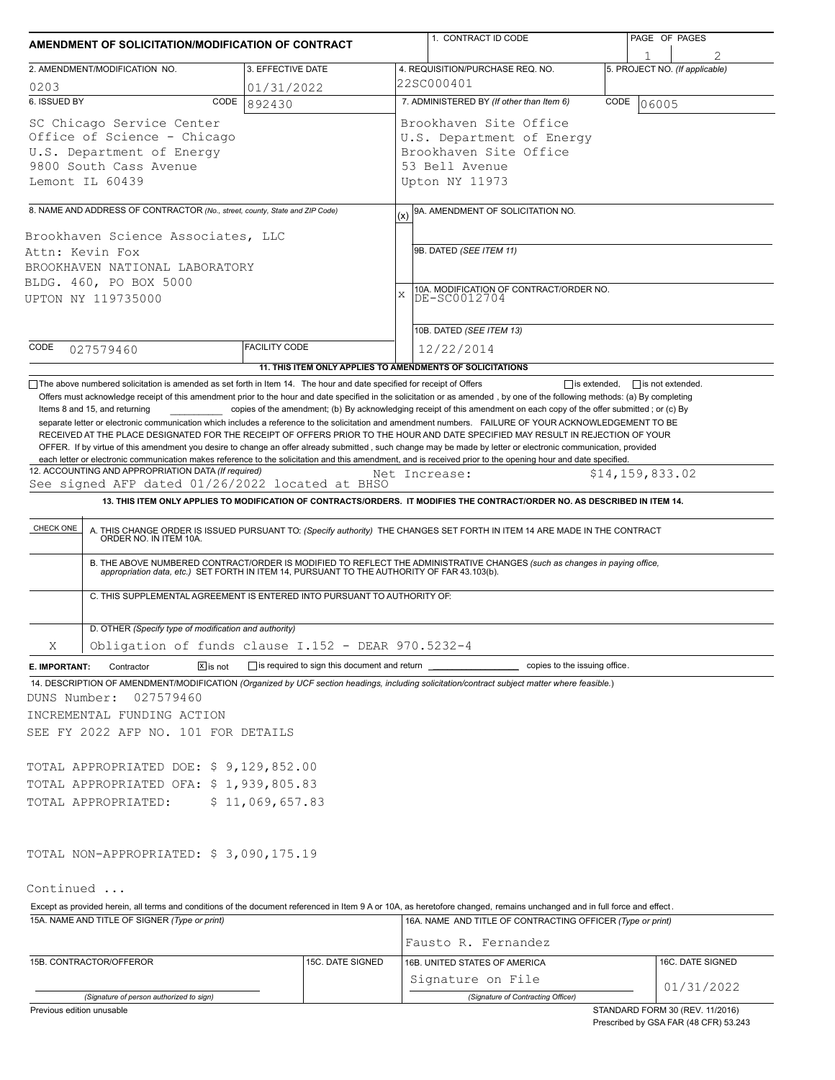| AMENDMENT OF SOLICITATION/MODIFICATION OF CONTRACT                                                                                                                                                                                       |                      |                  |                                                                                                                   | 1. CONTRACT ID CODE                                                                                                                                                                                                                                                                                                                                                       |  |                         | PAGE OF PAGES                  |  |
|------------------------------------------------------------------------------------------------------------------------------------------------------------------------------------------------------------------------------------------|----------------------|------------------|-------------------------------------------------------------------------------------------------------------------|---------------------------------------------------------------------------------------------------------------------------------------------------------------------------------------------------------------------------------------------------------------------------------------------------------------------------------------------------------------------------|--|-------------------------|--------------------------------|--|
| 2. AMENDMENT/MODIFICATION NO.                                                                                                                                                                                                            | 3. EFFECTIVE DATE    |                  |                                                                                                                   | 4. REQUISITION/PURCHASE REQ. NO.                                                                                                                                                                                                                                                                                                                                          |  |                         | 5. PROJECT NO. (If applicable) |  |
|                                                                                                                                                                                                                                          |                      |                  |                                                                                                                   | 22SC000401                                                                                                                                                                                                                                                                                                                                                                |  |                         |                                |  |
| 0203<br>6. ISSUED BY<br>CODE                                                                                                                                                                                                             | 01/31/2022<br>892430 |                  | 7. ADMINISTERED BY (If other than Item 6)<br>CODE<br>06005                                                        |                                                                                                                                                                                                                                                                                                                                                                           |  |                         |                                |  |
| SC Chicago Service Center<br>Office of Science - Chicago<br>U.S. Department of Energy<br>9800 South Cass Avenue<br>Lemont IL 60439                                                                                                       |                      |                  | Brookhaven Site Office<br>U.S. Department of Energy<br>Brookhaven Site Office<br>53 Bell Avenue<br>Upton NY 11973 |                                                                                                                                                                                                                                                                                                                                                                           |  |                         |                                |  |
|                                                                                                                                                                                                                                          |                      |                  |                                                                                                                   |                                                                                                                                                                                                                                                                                                                                                                           |  |                         |                                |  |
| 8. NAME AND ADDRESS OF CONTRACTOR (No., street, county, State and ZIP Code)<br>Brookhaven Science Associates, LLC<br>Attn: Kevin Fox<br>BROOKHAVEN NATIONAL LABORATORY                                                                   |                      |                  | 9A. AMENDMENT OF SOLICITATION NO.<br>(x)<br>9B. DATED (SEE ITEM 11)                                               |                                                                                                                                                                                                                                                                                                                                                                           |  |                         |                                |  |
| BLDG. 460, PO BOX 5000<br>UPTON NY 119735000                                                                                                                                                                                             |                      |                  | X                                                                                                                 | 10A. MODIFICATION OF CONTRACT/ORDER NO.<br>DE-SC0012704                                                                                                                                                                                                                                                                                                                   |  |                         |                                |  |
| CODE                                                                                                                                                                                                                                     | <b>FACILITY CODE</b> |                  |                                                                                                                   | 10B. DATED (SEE ITEM 13)                                                                                                                                                                                                                                                                                                                                                  |  |                         |                                |  |
| 027579460                                                                                                                                                                                                                                |                      |                  |                                                                                                                   | 12/22/2014                                                                                                                                                                                                                                                                                                                                                                |  |                         |                                |  |
| The above numbered solicitation is amended as set forth in Item 14. The hour and date specified for receipt of Offers                                                                                                                    |                      |                  |                                                                                                                   | 11. THIS ITEM ONLY APPLIES TO AMENDMENTS OF SOLICITATIONS<br>$\Box$ is extended.                                                                                                                                                                                                                                                                                          |  | $\Box$ is not extended. |                                |  |
| CHECK ONE                                                                                                                                                                                                                                |                      |                  |                                                                                                                   | A. THIS CHANGE ORDER IS ISSUED PURSUANT TO: (Specify authority) THE CHANGES SET FORTH IN ITEM 14 ARE MADE IN THE CONTRACT ORDER NO. IN ITEM 10A.<br>B. THE ABOVE NUMBERED CONTRACT/ORDER IS MODIFIED TO REFLECT THE ADMINISTRATIVE CHANGES (such as changes in paying office, appropriation data, etc.) SET FORTH IN ITEM 14, PURSUANT TO THE AUTHORITY OF FAR 43.103(b). |  |                         |                                |  |
| C. THIS SUPPLEMENTAL AGREEMENT IS ENTERED INTO PURSUANT TO AUTHORITY OF:                                                                                                                                                                 |                      |                  |                                                                                                                   |                                                                                                                                                                                                                                                                                                                                                                           |  |                         |                                |  |
| D. OTHER (Specify type of modification and authority)                                                                                                                                                                                    |                      |                  |                                                                                                                   |                                                                                                                                                                                                                                                                                                                                                                           |  |                         |                                |  |
| Obligation of funds clause I.152 - DEAR 970.5232-4<br>Χ                                                                                                                                                                                  |                      |                  |                                                                                                                   |                                                                                                                                                                                                                                                                                                                                                                           |  |                         |                                |  |
| $\boxed{\mathsf{x}}$ is not<br>Contractor<br>E. IMPORTANT:<br>14. DESCRIPTION OF AMENDMENT/MODIFICATION (Organized by UCF section headings, including solicitation/contract subject matter where feasible.)<br>DUNS Number:<br>027579460 |                      |                  |                                                                                                                   | is required to sign this document and return ___________________________ copies to the issuing office.                                                                                                                                                                                                                                                                    |  |                         |                                |  |
| INCREMENTAL FUNDING ACTION                                                                                                                                                                                                               |                      |                  |                                                                                                                   |                                                                                                                                                                                                                                                                                                                                                                           |  |                         |                                |  |
| SEE FY 2022 AFP NO. 101 FOR DETAILS                                                                                                                                                                                                      |                      |                  |                                                                                                                   |                                                                                                                                                                                                                                                                                                                                                                           |  |                         |                                |  |
| TOTAL APPROPRIATED DOE: \$9,129,852.00<br>TOTAL APPROPRIATED OFA: \$1,939,805.83<br>TOTAL APPROPRIATED:                                                                                                                                  | \$11,069,657.83      |                  |                                                                                                                   |                                                                                                                                                                                                                                                                                                                                                                           |  |                         |                                |  |
| TOTAL NON-APPROPRIATED: \$3,090,175.19                                                                                                                                                                                                   |                      |                  |                                                                                                                   |                                                                                                                                                                                                                                                                                                                                                                           |  |                         |                                |  |
| Continued                                                                                                                                                                                                                                |                      |                  |                                                                                                                   |                                                                                                                                                                                                                                                                                                                                                                           |  |                         |                                |  |
| Except as provided herein, all terms and conditions of the document referenced in Item 9 A or 10A, as heretofore changed, remains unchanged and in full force and effect.                                                                |                      |                  |                                                                                                                   |                                                                                                                                                                                                                                                                                                                                                                           |  |                         |                                |  |
| 15A. NAME AND TITLE OF SIGNER (Type or print)                                                                                                                                                                                            |                      |                  |                                                                                                                   | 16A. NAME AND TITLE OF CONTRACTING OFFICER (Type or print)                                                                                                                                                                                                                                                                                                                |  |                         |                                |  |
|                                                                                                                                                                                                                                          |                      |                  |                                                                                                                   | Fausto R. Fernandez                                                                                                                                                                                                                                                                                                                                                       |  |                         |                                |  |
| 15B. CONTRACTOR/OFFEROR                                                                                                                                                                                                                  |                      | 15C. DATE SIGNED |                                                                                                                   | 16B. UNITED STATES OF AMERICA<br>Signature on File                                                                                                                                                                                                                                                                                                                        |  |                         | 16C. DATE SIGNED               |  |
| (Signature of person authorized to sign)                                                                                                                                                                                                 |                      |                  |                                                                                                                   | (Signature of Contracting Officer)                                                                                                                                                                                                                                                                                                                                        |  |                         | 01/31/2022                     |  |
|                                                                                                                                                                                                                                          |                      |                  |                                                                                                                   |                                                                                                                                                                                                                                                                                                                                                                           |  |                         |                                |  |

Previous edition unusable

STANDARD FORM 30 (REV. 11/2016) Prescribed by GSA FAR (48 CFR) 53.243